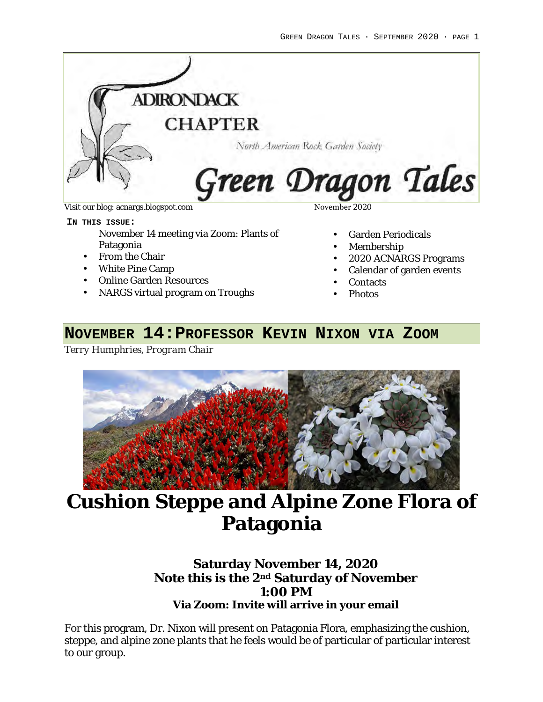

**IN THIS ISSUE:** 

November 14 meeting via Zoom: Plants of Patagonia

- From the Chair
- White Pine Camp
- Online Garden Resources
- NARGS virtual program on Troughs

- Garden Periodicals
- Membership
- 2020 ACNARGS Programs
- Calendar of garden events
- **Contacts**
- Photos

### **NOVEMBER 14:PROFESSOR KEVIN NIXON VIA ZOOM**

*Terry Humphries, Program Chair*



# **Cushion Steppe and Alpine Zone Flora of Patagonia**

### **Saturday November 14, 2020 Note this is the 2nd Saturday of November 1:00 PM Via Zoom: Invite will arrive in your email**

For this program, Dr. Nixon will present on Patagonia Flora, emphasizing the cushion, steppe, and alpine zone plants that he feels would be of particular of particular interest to our group.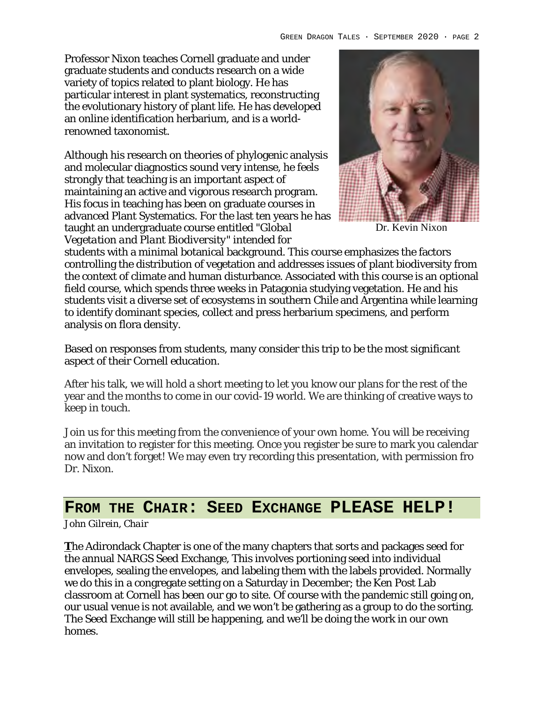Professor Nixon teaches Cornell graduate and under graduate students and conducts research on a wide variety of topics related to plant biology. He has particular interest in plant systematics, reconstructing the evolutionary history of plant life. He has developed an online identification herbarium, and is a worldrenowned taxonomist.

Although his research on theories of phylogenic analysis and molecular diagnostics sound very intense, he feels strongly that teaching is an important aspect of maintaining an active and vigorous research program. His focus in teaching has been on graduate courses in advanced Plant Systematics. For the last ten years he has taught an undergraduate course entitled *"Global Vegetation and Plant Biodiversity"* intended for



Dr. Kevin Nixon

students with a minimal botanical background. This course emphasizes the factors controlling the distribution of vegetation and addresses issues of plant biodiversity from the context of climate and human disturbance. Associated with this course is an optional field course, which spends three weeks in Patagonia studying vegetation. He and his students visit a diverse set of ecosystems in southern Chile and Argentina while learning to identify dominant species, collect and press herbarium specimens, and perform analysis on flora density.

Based on responses from students, many consider this trip to be the most significant aspect of their Cornell education.

After his talk, we will hold a short meeting to let you know our plans for the rest of the year and the months to come in our covid-19 world. We are thinking of creative ways to keep in touch.

Join us for this meeting from the convenience of your own home. You will be receiving an invitation to register for this meeting. Once you register be sure to mark you calendar now and don't forget! We may even try recording this presentation, with permission fro Dr. Nixon.

# **FROM THE CHAIR: SEED EXCHANGE PLEASE HELP!**

#### *John Gilrein, Chair*

**T**he Adirondack Chapter is one of the many chapters that sorts and packages seed for the annual NARGS Seed Exchange, This involves portioning seed into individual envelopes, sealing the envelopes, and labeling them with the labels provided. Normally we do this in a congregate setting on a Saturday in December; the Ken Post Lab classroom at Cornell has been our go to site. Of course with the pandemic still going on, our usual venue is not available, and we won't be gathering as a group to do the sorting. The Seed Exchange will still be happening, and we'll be doing the work in our own homes.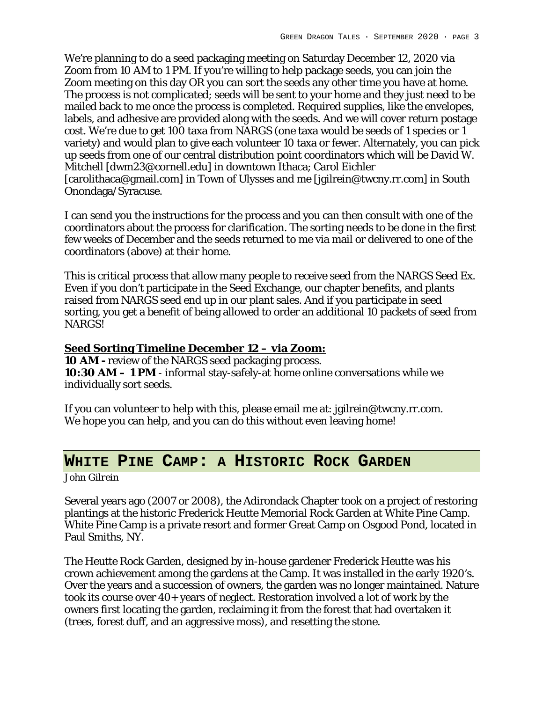We're planning to do a seed packaging meeting on Saturday December 12, 2020 via Zoom from 10 AM to 1 PM. If you're willing to help package seeds, you can join the Zoom meeting on this day OR you can sort the seeds any other time you have at home. The process is not complicated; seeds will be sent to your home and they just need to be mailed back to me once the process is completed. Required supplies, like the envelopes, labels, and adhesive are provided along with the seeds. And we will cover return postage cost. We're due to get 100 taxa from NARGS (one taxa would be seeds of 1 species or 1 variety) and would plan to give each volunteer 10 taxa or fewer. Alternately, you can pick up seeds from one of our central distribution point coordinators which will be David W. Mitchell [dwm23@cornell.edu] in downtown Ithaca; Carol Eichler [carolithaca@gmail.com] in Town of Ulysses and me [jgilrein@twcny.rr.com] in South Onondaga/Syracuse.

I can send you the instructions for the process and you can then consult with one of the coordinators about the process for clarification. The sorting needs to be done in the first few weeks of December and the seeds returned to me via mail or delivered to one of the coordinators (above) at their home.

This is critical process that allow many people to receive seed from the NARGS Seed Ex. Even if you don't participate in the Seed Exchange, our chapter benefits, and plants raised from NARGS seed end up in our plant sales. And if you participate in seed sorting, you get a benefit of being allowed to order an additional 10 packets of seed from NARGS!

**Seed Sorting Timeline December 12 – via Zoom: 10 AM -** review of the NARGS seed packaging process. **10:30 AM – 1 PM** - informal stay-safely-at home online conversations while we individually sort seeds.

If you can volunteer to help with this, please email me at: jgilrein@twcny.rr.com. We hope you can help, and you can do this without even leaving home!

### **WHITE PINE CAMP: A HISTORIC ROCK GARDEN**

#### *John Gilrein*

Several years ago (2007 or 2008), the Adirondack Chapter took on a project of restoring plantings at the historic Frederick Heutte Memorial Rock Garden at White Pine Camp. White Pine Camp is a private resort and former Great Camp on Osgood Pond, located in Paul Smiths, NY.

The Heutte Rock Garden, designed by in-house gardener Frederick Heutte was his crown achievement among the gardens at the Camp. It was installed in the early 1920's. Over the years and a succession of owners, the garden was no longer maintained. Nature took its course over 40+ years of neglect. Restoration involved a lot of work by the owners first locating the garden, reclaiming it from the forest that had overtaken it (trees, forest duff, and an aggressive moss), and resetting the stone.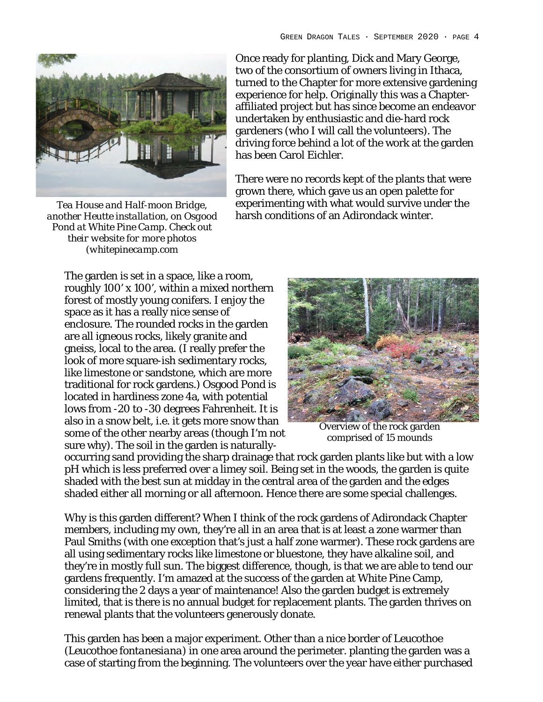

*Tea House and Half-moon Bridge, another Heutte installation, on Osgood Pond at White Pine Camp. Check out their website for more photos (whitepinecamp.com*

Once ready for planting, Dick and Mary George, two of the consortium of owners living in Ithaca, turned to the Chapter for more extensive gardening experience for help. Originally this was a Chapteraffiliated project but has since become an endeavor undertaken by enthusiastic and die-hard rock gardeners (who I will call the volunteers). The driving force behind a lot of the work at the garden has been Carol Eichler.

There were no records kept of the plants that were grown there, which gave us an open palette for experimenting with what would survive under the harsh conditions of an Adirondack winter.

The garden is set in a space, like a room, roughly 100' x 100', within a mixed northern forest of mostly young conifers. I enjoy the space as it has a really nice sense of enclosure. The rounded rocks in the garden are all igneous rocks, likely granite and gneiss, local to the area. (I really prefer the look of more square-ish sedimentary rocks, like limestone or sandstone, which are more traditional for rock gardens.) Osgood Pond is located in hardiness zone 4a, with potential lows from -20 to -30 degrees Fahrenheit. It is also in a snow belt, i.e. it gets more snow than some of the other nearby areas (though I'm not sure why). The soil in the garden is naturally-



Overview of the rock garden comprised of 15 mounds

occurring sand providing the sharp drainage that rock garden plants like but with a low pH which is less preferred over a limey soil. Being set in the woods, the garden is quite shaded with the best sun at midday in the central area of the garden and the edges shaded either all morning or all afternoon. Hence there are some special challenges.

Why is this garden different? When I think of the rock gardens of Adirondack Chapter members, including my own, they're all in an area that is at least a zone warmer than Paul Smiths (with one exception that's just a half zone warmer). These rock gardens are all using sedimentary rocks like limestone or bluestone, they have alkaline soil, and they're in mostly full sun. The biggest difference, though, is that we are able to tend our gardens frequently. I'm amazed at the success of the garden at White Pine Camp, considering the 2 days a year of maintenance! Also the garden budget is extremely limited, that is there is no annual budget for replacement plants. The garden thrives on renewal plants that the volunteers generously donate.

This garden has been a major experiment. Other than a nice border of Leucothoe (*Leucothoe fontanesiana*) in one area around the perimeter. planting the garden was a case of starting from the beginning. The volunteers over the year have either purchased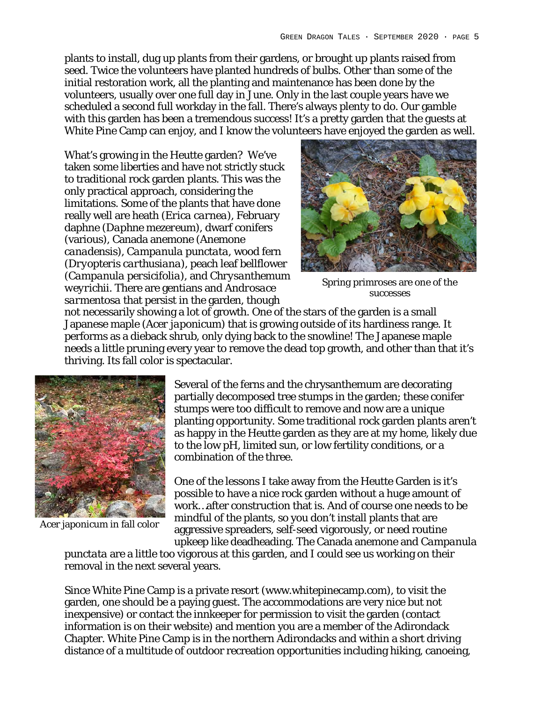plants to install, dug up plants from their gardens, or brought up plants raised from seed. Twice the volunteers have planted hundreds of bulbs. Other than some of the initial restoration work, all the planting and maintenance has been done by the volunteers, usually over one full day in June. Only in the last couple years have we scheduled a second full workday in the fall. There's always plenty to do. Our gamble with this garden has been a tremendous success! It's a pretty garden that the quests at White Pine Camp can enjoy, and I know the volunteers have enjoyed the garden as well.

What's growing in the Heutte garden? We've taken some liberties and have not strictly stuck to traditional rock garden plants. This was the only practical approach, considering the limitations. Some of the plants that have done really well are heath (*Erica carnea*), February daphne (*Daphne mezereum*), dwarf conifers (various), Canada anemone (*Anemone canadensis*), *Campanula punctata,* wood fern (*Dryopteris carthusiana*), peach leaf bellflower (*Campanula persicifolia*), and *Chrysanthemum weyrichii*. There are gentians and *Androsace sarmentosa* that persist in the garden, though



Spring primroses are one of the successes

not necessarily showing a lot of growth. One of the stars of the garden is a small Japanese maple (*Acer japonicum*) that is growing outside of its hardiness range. It performs as a dieback shrub, only dying back to the snowline! The Japanese maple needs a little pruning every year to remove the dead top growth, and other than that it's thriving. Its fall color is spectacular.



Acer japonicum in fall color

Several of the ferns and the chrysanthemum are decorating partially decomposed tree stumps in the garden; these conifer stumps were too difficult to remove and now are a unique planting opportunity. Some traditional rock garden plants aren't as happy in the Heutte garden as they are at my home, likely due to the low pH, limited sun, or low fertility conditions, or a combination of the three.

One of the lessons I take away from the Heutte Garden is it's possible to have a nice rock garden without a huge amount of work…after construction that is. And of course one needs to be mindful of the plants, so you don't install plants that are aggressive spreaders, self-seed vigorously, or need routine upkeep like deadheading. The Canada anemone and *Campanula* 

*punctata* are a little too vigorous at this garden, and I could see us working on their removal in the next several years.

Since White Pine Camp is a private resort (www.whitepinecamp.com), to visit the garden, one should be a paying guest. The accommodations are very nice but not inexpensive) or contact the innkeeper for permission to visit the garden (contact information is on their website) and mention you are a member of the Adirondack Chapter. White Pine Camp is in the northern Adirondacks and within a short driving distance of a multitude of outdoor recreation opportunities including hiking, canoeing,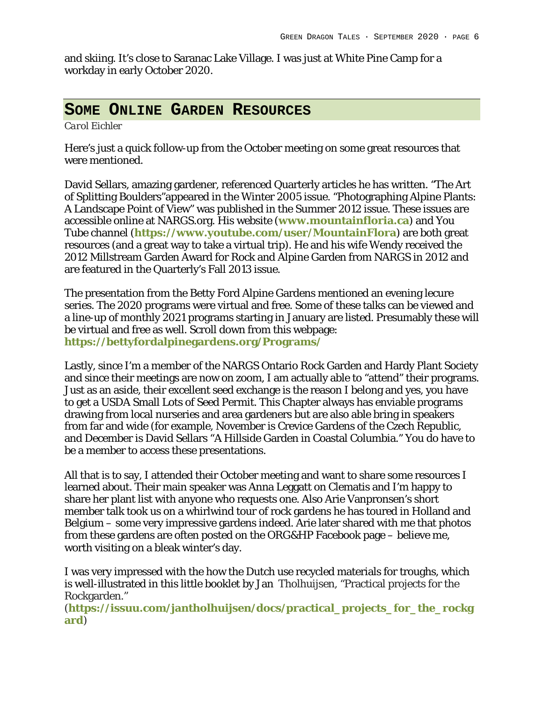and skiing. It's close to Saranac Lake Village. I was just at White Pine Camp for a workday in early October 2020.

### **SOME ONLINE GARDEN RESOURCES**

*Carol Eichler*

Here's just a quick follow-up from the October meeting on some great resources that were mentioned.

David Sellars, amazing gardener, referenced Quarterly articles he has written. "The Art of Splitting Boulders"appeared in the Winter 2005 issue. "Photographing Alpine Plants: A Landscape Point of View" was published in the Summer 2012 issue. These issues are accessible online at NARGS.org. His website (**www.mountainfloria.ca**) and You Tube channel (**https://www.youtube.com/user/MountainFlora**) are both great resources (and a great way to take a virtual trip). He and his wife Wendy received the 2012 Millstream Garden Award for Rock and Alpine Garden from NARGS in 2012 and are featured in the Quarterly's Fall 2013 issue.

The presentation from the Betty Ford Alpine Gardens mentioned an evening lecure series. The 2020 programs were virtual and free. Some of these talks can be viewed and a line-up of monthly 2021 programs starting in January are listed. Presumably these will be virtual and free as well. Scroll down from this webpage: **https://bettyfordalpinegardens.org/Programs/**

Lastly, since I'm a member of the NARGS Ontario Rock Garden and Hardy Plant Society and since their meetings are now on zoom, I am actually able to "attend" their programs. Just as an aside, their excellent seed exchange is the reason I belong and yes, you have to get a USDA Small Lots of Seed Permit. This Chapter always has enviable programs drawing from local nurseries and area gardeners but are also able bring in speakers from far and wide (for example, November is Crevice Gardens of the Czech Republic, and December is David Sellars "A Hillside Garden in Coastal Columbia." You do have to be a member to access these presentations.

All that is to say, I attended their October meeting and want to share some resources I learned about. Their main speaker was Anna Leggatt on Clematis and I'm happy to share her plant list with anyone who requests one. Also Arie Vanpronsen's short member talk took us on a whirlwind tour of rock gardens he has toured in Holland and Belgium – some very impressive gardens indeed. Arie later shared with me that photos from these gardens are often posted on the ORG&HP Facebook page – believe me, worth visiting on a bleak winter's day.

I was very impressed with the how the Dutch use recycled materials for troughs, which is well-illustrated in this little booklet by Jan Tholhuijsen, "Practical projects for the Rockgarden."

(**https://issuu.com/jantholhuijsen/docs/practical\_projects\_for\_the\_rockg ard**)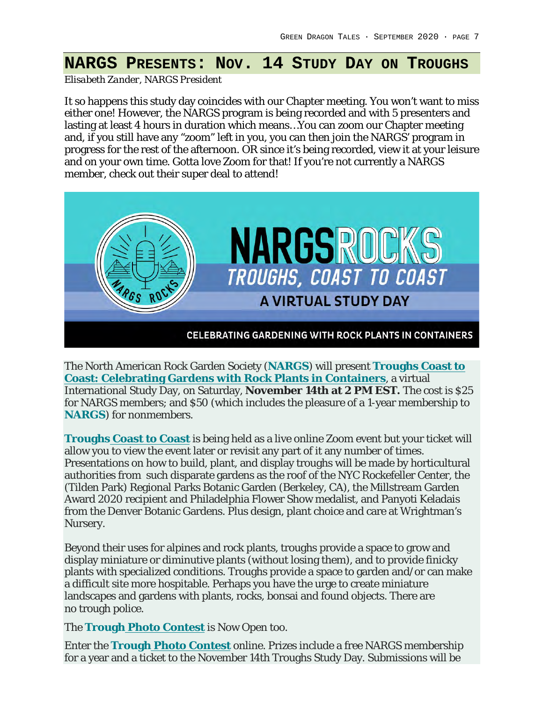## **NARGS PRESENTS: NOV. 14 STUDY DAY ON TROUGHS**

*Elisabeth Zander, NARGS President*

It so happens this study day coincides with our Chapter meeting. You won't want to miss either one! However, the NARGS program is being recorded and with 5 presenters and lasting at least 4 hours in duration which means... You can zoom our Chapter meeting and, if you still have any "zoom" left in you, you can then join the NARGS' program in progress for the rest of the afternoon. OR since it's being recorded, view it at your leisure and on your own time. Gotta love Zoom for that! If you're not currently a NARGS member, check out their super deal to attend!



The North American Rock Garden Society (**NARGS**) will present **Troughs Coast to Coast: Celebrating Gardens with Rock Plants in Containers**, a virtual International Study Day, on Saturday, **November 14th at 2 PM EST.** The cost is \$25 for NARGS members; and \$50 (which includes the pleasure of a 1-year membership to **NARGS**) for nonmembers.

**Troughs Coast to Coast** is being held as a live online Zoom event but your ticket will allow you to view the event later or revisit any part of it any number of times. Presentations on how to build, plant, and display troughs will be made by horticultural authorities from such disparate gardens as the roof of the NYC Rockefeller Center, the (Tilden Park) Regional Parks Botanic Garden (Berkeley, CA), the Millstream Garden Award 2020 recipient and Philadelphia Flower Show medalist, and Panyoti Keladais from the Denver Botanic Gardens. Plus design, plant choice and care at Wrightman's Nursery.

Beyond their uses for alpines and rock plants, troughs provide a space to grow and display miniature or diminutive plants (without losing them), and to provide finicky plants with specialized conditions. Troughs provide a space to garden and/or can make a difficult site more hospitable. Perhaps you have the urge to create miniature landscapes and gardens with plants, rocks, bonsai and found objects. There are no trough police.

The **Trough Photo Contest** is Now Open too.

Enter the **Trough Photo Contest** online. Prizes include a free NARGS membership for a year and a ticket to the November 14th Troughs Study Day. Submissions will be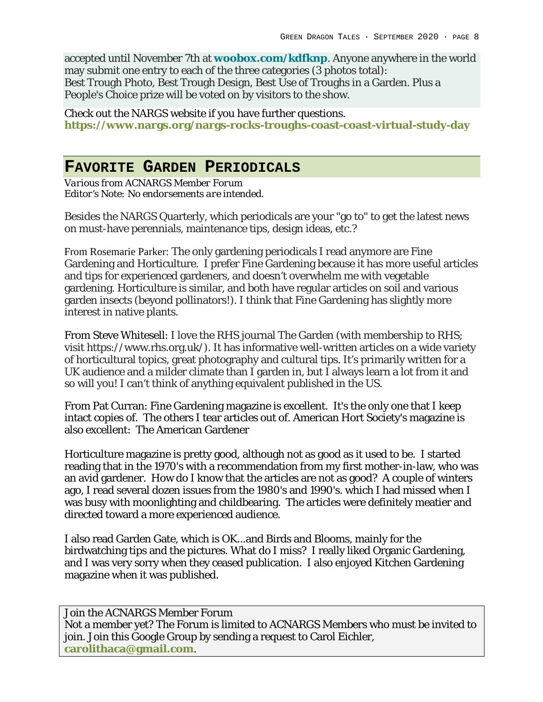accepted until November 7th at **woobox.com/kdfknp**. Anyone anywhere in the world may submit one entry to each of the three categories (3 photos total): Best Trough Photo, Best Trough Design, Best Use of Troughs in a Garden. Plus a People's Choice prize will be voted on by visitors to the show.

Check out the NARGS website if you have further questions. **https://www.nargs.org/nargs-rocks-troughs-coast-coast-virtual-study-day**

#### **FAVORITE GARDEN PERIODICALS**

*Various from ACNARGS Member Forum Editor's Note: No endorsements are intended.*

Besides the NARGS Quarterly, which periodicals are your "go to" to get the latest news on must-have perennials, maintenance tips, design ideas, etc.?

From Rosemarie Parker: The only gardening periodicals I read anymore are Fine Gardening and Horticulture. I prefer Fine Gardening because it has more useful articles and tips for experienced gardeners, and doesn't overwhelm me with vegetable gardening. Horticulture is similar, and both have regular articles on soil and various garden insects (beyond pollinators!). I think that Fine Gardening has slightly more interest in native plants.

From Steve Whitesell: I love the RHS journal The Garden (with membership to RHS; visit https://www.rhs.org.uk/). It has informative well-written articles on a wide variety of horticultural topics, great photography and cultural tips. It's primarily written for a UK audience and a milder climate than I garden in, but I always learn a lot from it and so will you! I can't think of anything equivalent published in the US.

From Pat Curran: Fine Gardening magazine is excellent. It's the only one that I keep intact copies of. The others I tear articles out of. American Hort Society's magazine is also excellent: The American Gardener

Horticulture magazine is pretty good, although not as good as it used to be. I started reading that in the 1970's with a recommendation from my first mother-in-law, who was an avid gardener. How do I know that the articles are not as good? A couple of winters ago, I read several dozen issues from the 1980's and 1990's. which I had missed when I was busy with moonlighting and childbearing. The articles were definitely meatier and directed toward a more experienced audience.

I also read Garden Gate, which is OK...and Birds and Blooms, mainly for the birdwatching tips and the pictures. What do I miss? I really liked Organic Gardening, and I was very sorry when they ceased publication. I also enjoyed Kitchen Gardening magazine when it was published.

Join the ACNARGS Member Forum Not a member yet? The Forum is limited to ACNARGS Members who must be invited to join. Join this Google Group by sending a request to Carol Eichler, **carolithaca@gmail.com**.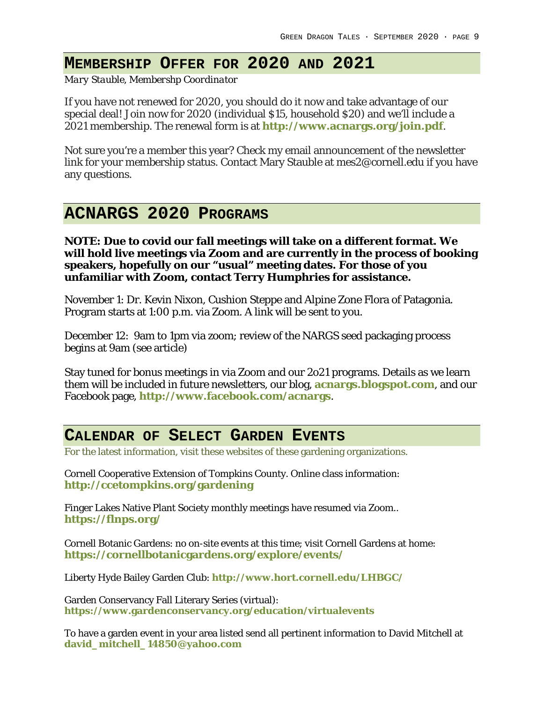# **MEMBERSHIP OFFER FOR 2020 AND 2021**

*Mary Stauble, Membershp Coordinator*

If you have not renewed for 2020, you should do it now and take advantage of our special deal! Join now for 2020 (individual \$15, household \$20) and we'll include a 2021 membership. The renewal form is at **http://www.acnargs.org/join.pdf**.

Not sure you're a member this year? Check my email announcement of the newsletter link for your membership status. Contact Mary Stauble at mes2@cornell.edu if you have any questions.

# **ACNARGS 2020 PROGRAMS**

**NOTE: Due to covid our fall meetings will take on a different format. We will hold live meetings via Zoom and are currently in the process of booking speakers, hopefully on our "usual" meeting dates. For those of you unfamiliar with Zoom, contact Terry Humphries for assistance.** 

November 1: Dr. Kevin Nixon, Cushion Steppe and Alpine Zone Flora of Patagonia. Program starts at 1:00 p.m. via Zoom. A link will be sent to you.

December 12: 9am to 1pm via zoom; review of the NARGS seed packaging process begins at 9am (see article)

Stay tuned for bonus meetings in via Zoom and our 2o21 programs. Details as we learn them will be included in future newsletters, our blog, **acnargs.blogspot.com**, and our Facebook page, **http://www.facebook.com/acnargs**.

### **CALENDAR OF SELECT GARDEN EVENTS**

For the latest information, visit these websites of these gardening organizations.

Cornell Cooperative Extension of Tompkins County. Online class information: **http://ccetompkins.org/gardening**

Finger Lakes Native Plant Society monthly meetings have resumed via Zoom.. **https://flnps.org/**

Cornell Botanic Gardens: no on-site events at this time; visit Cornell Gardens at home: **https://cornellbotanicgardens.org/explore/events/**

Liberty Hyde Bailey Garden Club: **http://www.hort.cornell.edu/LHBGC/**

Garden Conservancy Fall Literary Series (virtual): **https://www.gardenconservancy.org/education/virtualevents**

To have a garden event in your area listed send all pertinent information to David Mitchell at **david\_mitchell\_14850@yahoo.com**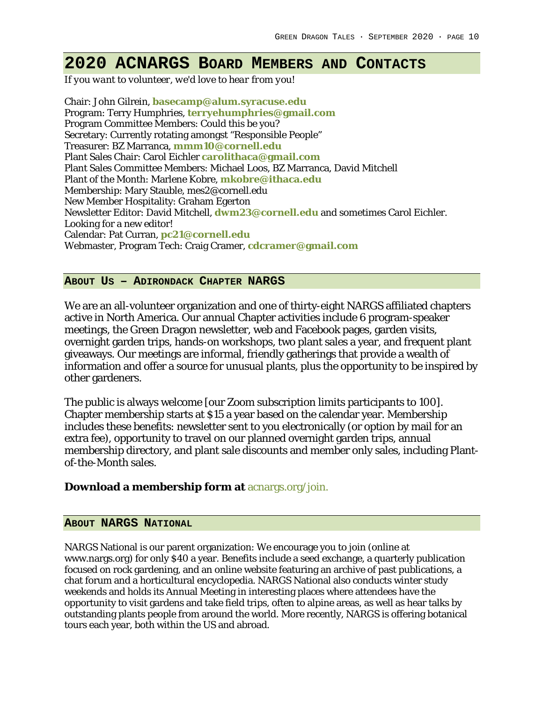# **2020 ACNARGS BOARD MEMBERS AND CONTACTS**

*If you want to volunteer, we'd love to hear from you!*

Chair: John Gilrein, **basecamp@alum.syracuse.edu** Program: Terry Humphries, **terryehumphries@gmail.com** Program Committee Members: Could this be you? Secretary: Currently rotating amongst "Responsible People" Treasurer: BZ Marranca, **mmm10@cornell.edu** Plant Sales Chair: Carol Eichler **carolithaca@gmail.com** Plant Sales Committee Members: Michael Loos, BZ Marranca, David Mitchell Plant of the Month: Marlene Kobre, **mkobre@ithaca.edu** Membership: Mary Stauble, mes2@cornell.edu New Member Hospitality: Graham Egerton Newsletter Editor: David Mitchell, **dwm23@cornell.edu** and sometimes Carol Eichler. Looking for a new editor! Calendar: Pat Curran, **pc21@cornell.edu** Webmaster, Program Tech: Craig Cramer, **cdcramer@gmail.com**

#### **ABOUT US – ADIRONDACK CHAPTER NARGS**

We are an all-volunteer organization and one of thirty-eight NARGS affiliated chapters active in North America. Our annual Chapter activities include 6 program-speaker meetings, the Green Dragon newsletter, web and Facebook pages, garden visits, overnight garden trips, hands-on workshops, two plant sales a year, and frequent plant giveaways. Our meetings are informal, friendly gatherings that provide a wealth of information and offer a source for unusual plants, plus the opportunity to be inspired by other gardeners.

The public is always welcome [our Zoom subscription limits participants to 100]. Chapter membership starts at \$15 a year based on the calendar year. Membership includes these benefits: newsletter sent to you electronically (or option by mail for an extra fee), opportunity to travel on our planned overnight garden trips, annual membership directory, and plant sale discounts and member only sales, including Plantof-the-Month sales.

**Download a membership form at** acnargs.org/join.

#### **ABOUT NARGS NATIONAL**

NARGS National is our parent organization: We encourage you to join (online at www.nargs.org) for only \$40 a year. Benefits include a seed exchange, a quarterly publication focused on rock gardening, and an online website featuring an archive of past publications, a chat forum and a horticultural encyclopedia. NARGS National also conducts winter study weekends and holds its Annual Meeting in interesting places where attendees have the opportunity to visit gardens and take field trips, often to alpine areas, as well as hear talks by outstanding plants people from around the world. More recently, NARGS is offering botanical tours each year, both within the US and abroad.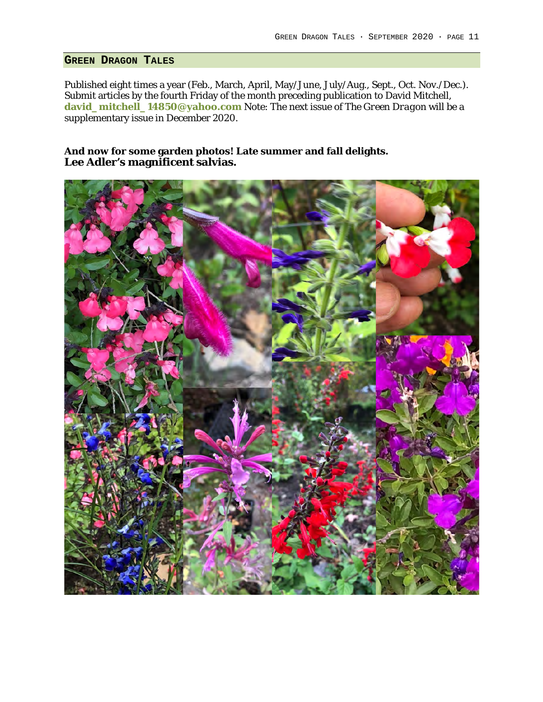#### **GREEN DRAGON TALES**

Published eight times a year (Feb., March, April, May/June, July/Aug., Sept., Oct. Nov./Dec.). Submit articles by the fourth Friday of the month preceding publication to David Mitchell, **david\_mitchell\_14850@yahoo.com** Note: The next issue of *The Green Dragon* will be a supplementary issue in December 2020.

**And now for some garden photos! Late summer and fall delights.** Lee Adler's magnificent salvias.